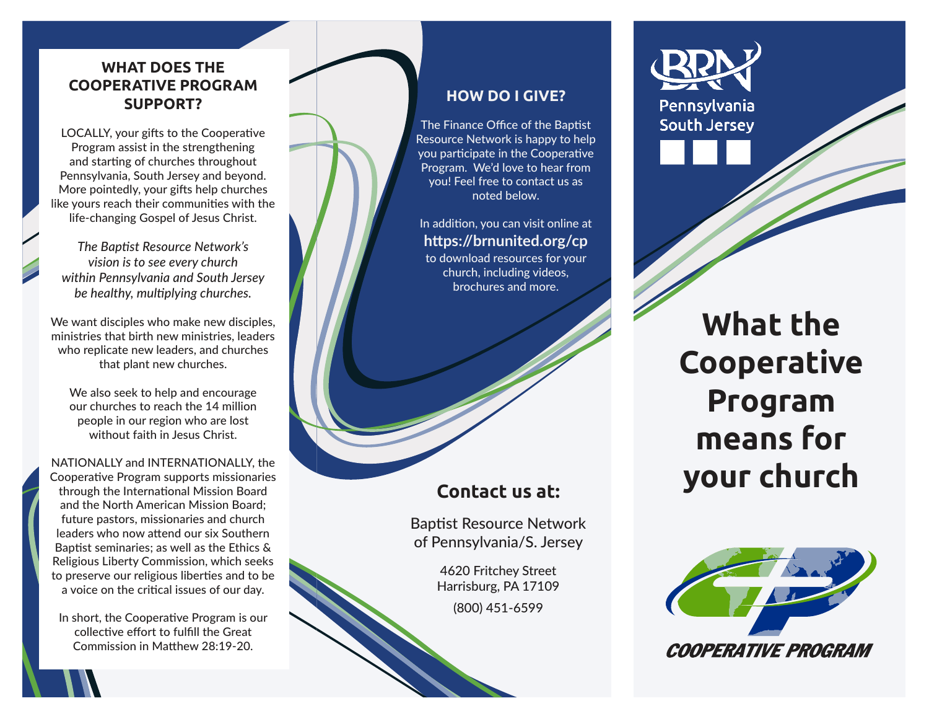# **WHAT DOES THE COOPERATIVE PROGRAM SUPPORT?**

LOCALLY, your gifts to the Cooperative Program assist in the strengthening and starting of churches throughout Pennsylvania, South Jersey and beyond. More pointedly, your gifts help churches like yours reach their communities with the life-changing Gospel of Jesus Christ.

*The Baptist Resource Network's vision is to see every church within Pennsylvania and South Jersey be healthy, multiplying churches.* 

We want disciples who make new disciples, ministries that birth new ministries, leaders who replicate new leaders, and churches that plant new churches.

We also seek to help and encourage our churches to reach the 14 million people in our region who are lost without faith in Jesus Christ.

NATIONALLY and INTERNATIONALLY, the Cooperative Program supports missionaries through the International Mission Board and the North American Mission Board; future pastors, missionaries and church leaders who now attend our six Southern Baptist seminaries; as well as the Ethics & Religious Liberty Commission, which seeks to preserve our religious liberties and to be a voice on the critical issues of our day.

In short, the Cooperative Program is our collective effort to fulfill the Great Commission in Matthew 28:19-20.

## **HOW DO I GIVE?**

The Finance Office of the Baptist Resource Network is happy to help you participate in the Cooperative Program. We'd love to hear from you! Feel free to contact us as noted below.

In addition, you can visit online at **https://brnunited.org/cp**  to download resources for your church, including videos, brochures and more.

# **Contact us at:**

Baptist Resource Network of Pennsylvania/S. Jersey

> 4620 Fritchey Street Harrisburg, PA 17109 (800) 451-6599



Pennsylvania **South Jersey** 

> **What the Cooperative Program means for your church**